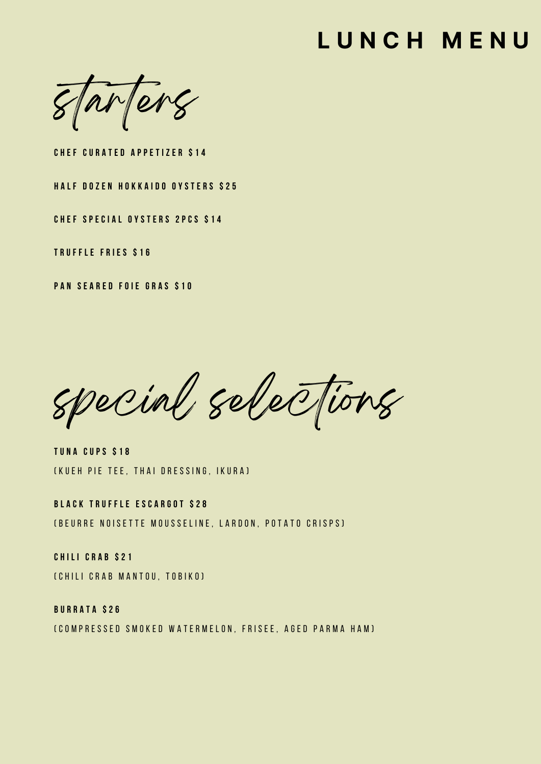# **L U N C H M E N U**

starters

**C H E F C U R A T E D A P P E T I Z E R \$ 1 4**

**HALF DOZEN HOKKAIDO OYSTERS \$25** 

**C H E F S P E C I A L O Y S T E R S 2 P C S \$ 1 4**

**T R U F F L E F R IE S \$ 1 6**

**P A N S E A R E D F O IE G R A S \$ 1 0**

special selections

**T U N A C U P S \$ 1 8** (KUEH PIE TEE, THAI DRESSING, IKURA)

**B L A C K T R U F F L E E S C A R G O T \$ 2 8** ( B E U R R E NOISE TTE MOUSSELINE, LARDON, POTATO CRISPS)

**C H I L I C R A B \$ 2 1** (CHILI CRAB MANTOU, TOBIKO)

**B U R R A T A \$ 2 6** ( COMPRESSED SMOKED WATERMELON, FRISEE, AGED PARMA HAM )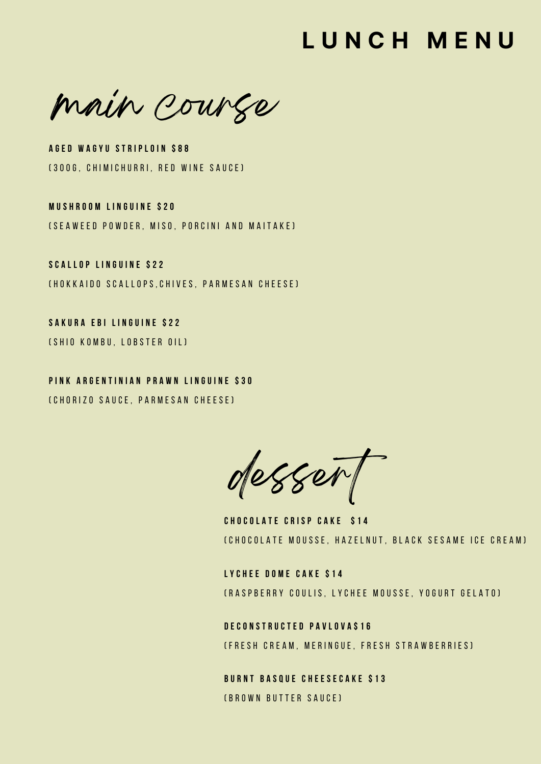### **L U N C H M E N U**

main course

**A G E D W A G Y U S T R IP L O IN \$ 8 8** (300G, CHIMICHURRI, RED WINE SAUCE)

**M U S H R O O M L I N G U IN E \$ 2 0** ( S E A W E E D P O W D E R , M I S O , P O R C I N I A N D M A I T A K E )

**S C A L L O P L I N G U IN E \$ 2 2** (HOKKAIDO SCALLOPS.CHIVES. PARMESAN CHEESE)

**S A K U R A E B IL I N G U IN E \$ 2 2** ( SH I O K O M B U , LOBSTER OIL )

PINK ARGENTINIAN PRAWN LINGUINE \$30 (CHORIZO SAUCE, PARMESAN CHEESE)

desser

**C H O C O L A T E C R I S P C A K E \$ 1 4** (CHOCOLATE MOUSSE, HAZELNUT, BLACK SESAME ICE CREAM)

**L Y C H E E D O M E C A K E \$ 1 4** (RASPBERRY COULIS, LYCHEE MOUSSE, YOGURT GELATO)

**D E C O N S T R U C T E D P A V L O V A \$ 1 6** (FRESH CREAM, MERINGUE, FRESH STRAWBERRIES)

**B U R N T B A S Q U E C H E E S E C A K E \$ 1 3** ( B R O W N B U T T E R S A U C E )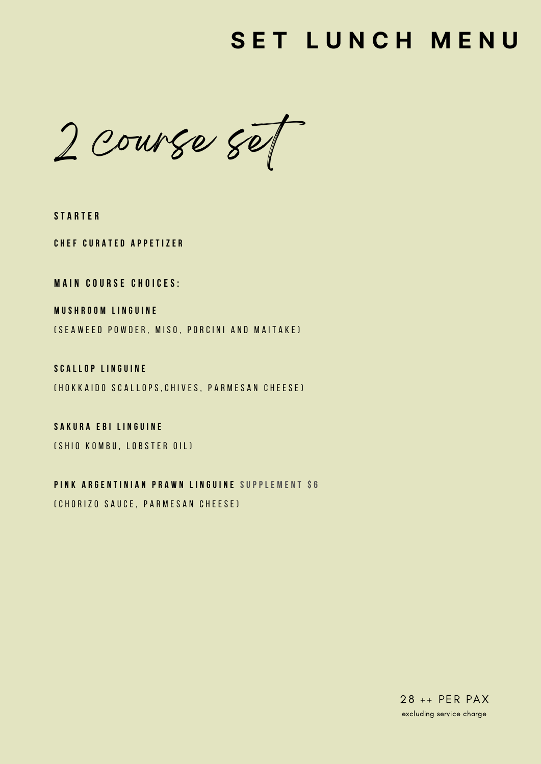### **S E T L U N C H M E N U**

 $2$  course set

**S T A R T E R**

**C H E F C U R A T E D A P P E T I Z E R**

**M A IN C O U R S E C H O I C E S :**

**M U S H R O O M L I N G U IN E**

( SE A W E E D P O W D E R , M I S O , P O R C I N I A N D M A I T A K E )

**S C A L L O P L I N G U IN E** (HOKKAIDO SCALLOPS, CHIVES, PARMESAN CHEESE)

**S A K U R A E B IL I N G U IN E** ( SH I O K O M B U , LOBS TER OIL )

PINK ARGENTINIAN PRAWN LINGUINE SUPPLEMENT \$6 ( C H O R I Z O S A U C E ,P A R M E S A N C H E E S E )

> 28 ++ PER PAX excluding service charge